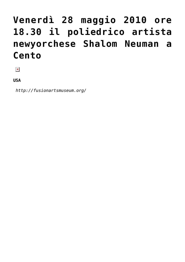## **[Venerdì 28 maggio 2010 ore](https://bonzagni.comune.cento.fe.it/2010/05/28/post_16/) [18.30 il poliedrico artista](https://bonzagni.comune.cento.fe.it/2010/05/28/post_16/) [newyorchese Shalom Neuman a](https://bonzagni.comune.cento.fe.it/2010/05/28/post_16/) [Cento](https://bonzagni.comune.cento.fe.it/2010/05/28/post_16/)**

 $\pmb{\times}$ 

**USA**

 *http://fusionartsmuseum.org/*